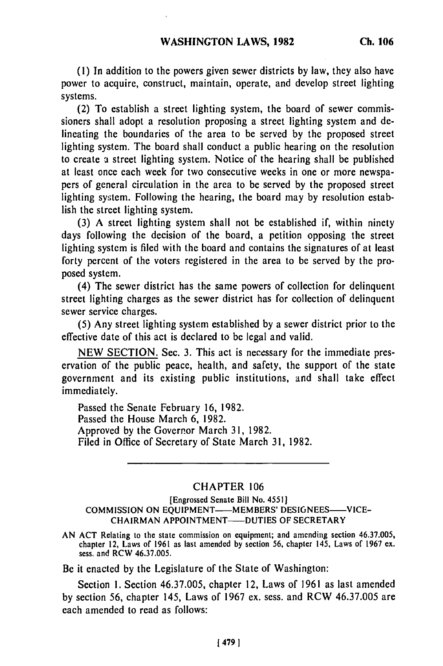*(1)* In addition to the powers given sewer districts **by** law, they also have power to acquire, construct, maintain, operate, and develop street lighting systems.

(2) To establish a street lighting system, the board of sewer commissioners shall adopt a resolution proposing a street lighting system and delineating the boundaries of the area to be served **by** the proposed street lighting system. The board shall conduct a public hearing on the resolution to create a street lighting system. Notice of the hearing shall be published at least once each week for two consecutive weeks in one or more newspapers of general circulation in the area to be served **by** the proposed street lighting sys;tem. Following the hearing, the board may **by** resolution establish the street lighting system.

**(3)** A street lighting system shall not be established if, within ninety days following the decision of the board, a petition opposing the street lighting system is filed with the board and contains the signatures of at least forty percent of the voters registered in the area to be served **by** the proposed system.

(4) The sewer district has the same powers of collection for delinquent street lighting charges as the sewer district has for collection of delinquent sewer service charges.

(5) Any street lighting system established **by** a sewer district prior to the effective date of this act is declared to be legal and valid.

NEW SECTION. Sec. **3.** This act is necessary for the immediate preservation of the public peace, health, and safety, the support of the state government and its existing public institutions, and shall take effect immediately.

Passed the Senate February **16,** 1982. Passed the House March 6, **1982.** Approved **by** the Governor March **31,** 1982. Filed in Office of Secretary of State March 31, 1982.

## CHAPTER **106**

[Engrossed **Senate Bill** No. **4551]** COMMISSION ON EQUIPMENT-MEMBERS' DESIGNEES-VICE-CHAIRMAN **APPOINTMENT-DUTIES** OF SECRETARY

**AN ACT** Relating to the state commission on equipment; and amending section **46.37.005,** chapter 12, Laws of 1961 as last amended **by** section 56, **chapter** 145, Laws of **196'7 ex.** chapter 12, Laws of 1961 as last amended by section 56, chapter 145, Laws of 1967 ex. sess. and RCW 46.37.005.

Be it enacted **by** the Legislature of the State of Washington:

Section **1.** Section 46.37.005, chapter 12, Laws of 1961 as last amended **by** section 56, chapter 145, Laws of 1967 ex. sess. and RCW 46.37.005 are each amended to read as follows: